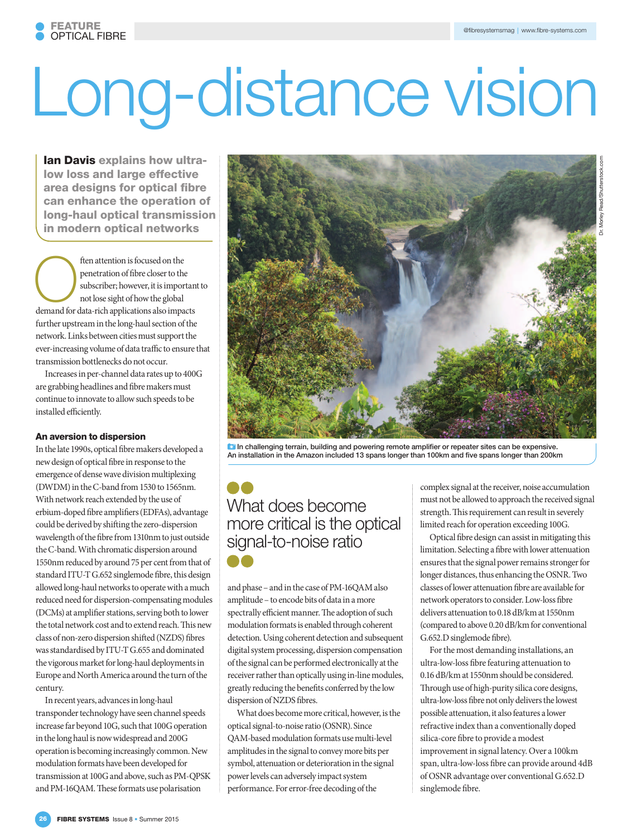Dr. Morley Read/Shutterstock.com

# Long-distance vision

Ian Davis explains how ultralow loss and large effective area designs for optical fibre can enhance the operation of long-haul optical transmission in modern optical networks

The demand of fibre closer to the subscriber; however, it is important of the subscriber; however, it is important of the sight of how the global demand for data-rich applications also impacts penetration of fibre closer to the subscriber; however, it is important to not lose sight of how the global further upstream in the long-haul section of the network. Links between cities must support the ever-increasing volume of data traffic to ensure that transmission bottlenecks do not occur.

Increases in per-channel data rates up to 400G are grabbing headlines and fibre makers must continue to innovate to allow such speeds to be installed efficiently.

### An aversion to dispersion

In the late 1990s, optical fibre makers developed a new design of optical fibre in response to the emergence of dense wave division multiplexing (DWDM) in the C-band from 1530 to 1565nm. With network reach extended by the use of erbium-doped fibre amplifiers (EDFAs), advantage could be derived by shifting the zero-dispersion wavelength of the fibre from 1310nm to just outside the C-band. With chromatic dispersion around 1550nm reduced by around 75 per cent from that of standard ITU-T G.652 singlemode fibre, this design allowed long-haul networks to operate with a much reduced need for dispersion-compensating modules (DCMs) at amplifier stations, serving both to lower the total network cost and to extend reach. This new class of non-zero dispersion shifted (NZDS) fibres was standardised by ITU-T G.655 and dominated the vigorous market for long-haul deployments in Europe and North America around the turn of the century.

In recent years, advances in long-haul transponder technology have seen channel speeds increase far beyond 10G, such that 100G operation in the long haul is now widespread and 200G operation is becoming increasingly common. New modulation formats have been developed for transmission at 100G and above, such as PM-QPSK and PM-16QAM. These formats use polarisation



**ID** In challenging terrain, building and powering remote amplifier or repeater sites can be expensive. An installation in the Amazon included 13 spans longer than 100km and five spans longer than 200km

## What does become more critical is the optical signal-to-noise ratio

and phase – and in the case of PM-16QAM also amplitude – to encode bits of data in a more spectrally efficient manner. The adoption of such modulation formats is enabled through coherent detection. Using coherent detection and subsequent digital system processing, dispersion compensation of the signal can be performed electronically at the receiver rather than optically using in-line modules, greatly reducing the benefits conferred by the low dispersion of NZDS fibres.

What does become more critical, however, is the optical signal-to-noise ratio (OSNR). Since QAM-based modulation formats use multi-level amplitudes in the signal to convey more bits per symbol, attenuation or deterioration in the signal power levels can adversely impact system performance. For error-free decoding of the

complex signal at the receiver, noise accumulation must not be allowed to approach the received signal strength. This requirement can result in severely limited reach for operation exceeding 100G.

Optical fibre design can assist in mitigating this limitation. Selecting a fibre with lower attenuation ensures that the signal power remains stronger for longer distances, thus enhancing the OSNR. Two classes of lower attenuation fibre are available for network operators to consider. Low-loss fibre delivers attenuation to 0.18 dB/km at 1550nm (compared to above 0.20 dB/km for conventional G.652.D singlemode fibre).

For the most demanding installations, an ultra-low-loss fibre featuring attenuation to 0.16 dB/km at 1550nm should be considered. Through use of high-purity silica core designs, ultra-low-loss fibre not only delivers the lowest possible attenuation, it also features a lower refractive index than a conventionally doped silica-core fibre to provide a modest improvement in signal latency. Over a 100km span, ultra-low-loss fibre can provide around 4dB of OSNR advantage over conventional G.652.D singlemode fibre.